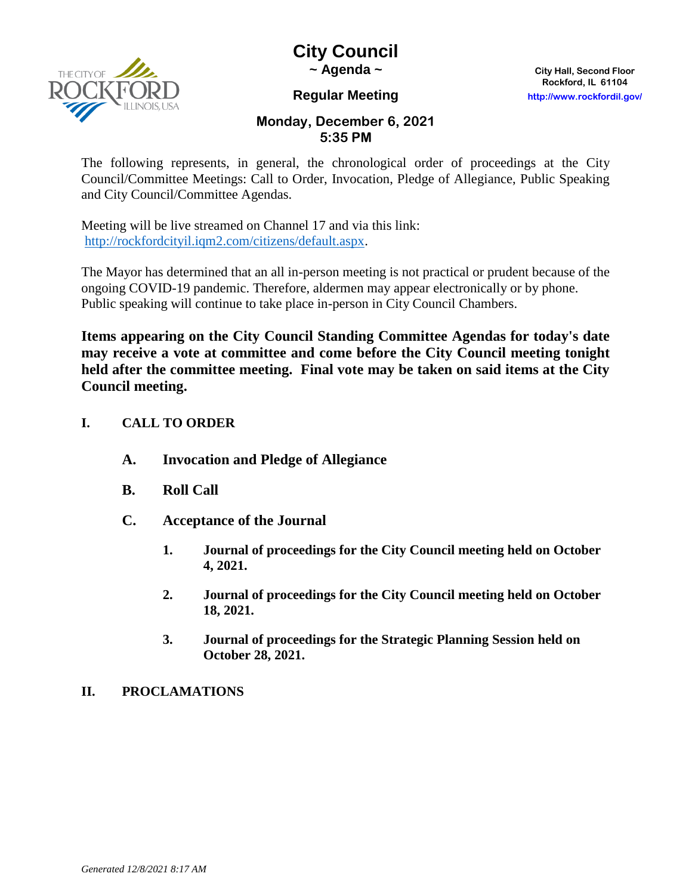

# **City Council**

**~ Agenda ~ City Hall, Second Floor**

# **Rockford, IL 61104 Regular Meeting http://www.rockfordil.gov/**

# **Monday, December 6, 2021 5:35 PM**

The following represents, in general, the chronological order of proceedings at the City Council/Committee Meetings: Call to Order, Invocation, Pledge of Allegiance, Public Speaking and City Council/Committee Agendas.

Meeting will be live streamed on Channel 17 and via this link: [http://rockfordcityil.iqm2.com/citizens/default.aspx.](http://rockfordcityil.iqm2.com/citizens/default.aspx)

The Mayor has determined that an all in-person meeting is not practical or prudent because of the ongoing COVID-19 pandemic. Therefore, aldermen may appear electronically or by phone. Public speaking will continue to take place in-person in City Council Chambers.

**Items appearing on the City Council Standing Committee Agendas for today's date may receive a vote at committee and come before the City Council meeting tonight held after the committee meeting. Final vote may be taken on said items at the City Council meeting.**

# **I. CALL TO ORDER**

- **A. Invocation and Pledge of Allegiance**
- **B. Roll Call**
- **C. Acceptance of the Journal** 
	- **1. Journal of proceedings for the City Council meeting held on October 4, 2021.**
	- **2. Journal of proceedings for the City Council meeting held on October 18, 2021.**
	- **3. Journal of proceedings for the Strategic Planning Session held on October 28, 2021.**

# **II. PROCLAMATIONS**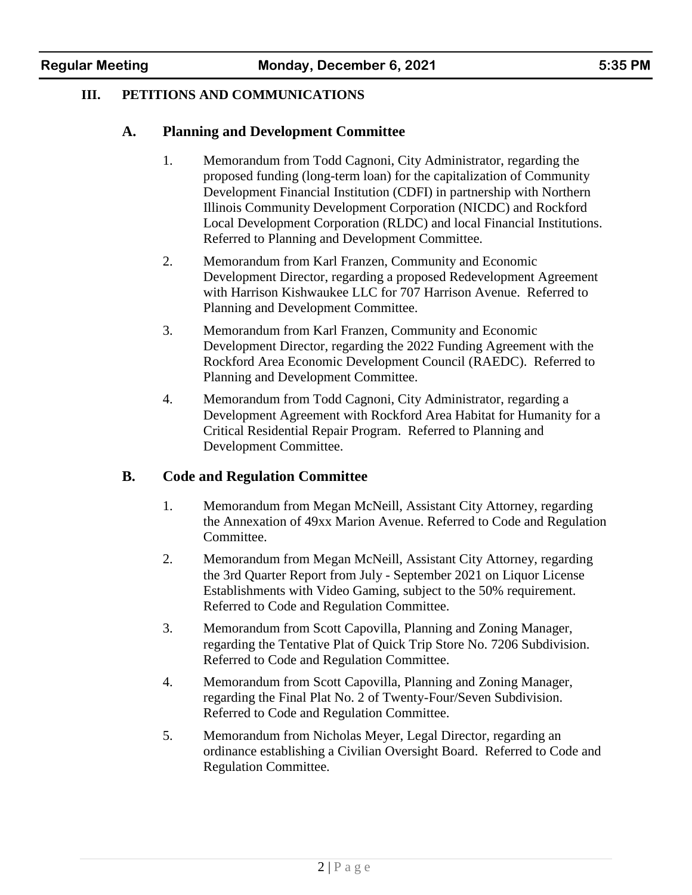#### **III. PETITIONS AND COMMUNICATIONS**

#### **A. Planning and Development Committee**

- 1. Memorandum from Todd Cagnoni, City Administrator, regarding the proposed funding (long-term loan) for the capitalization of Community Development Financial Institution (CDFI) in partnership with Northern Illinois Community Development Corporation (NICDC) and Rockford Local Development Corporation (RLDC) and local Financial Institutions. Referred to Planning and Development Committee.
- 2. Memorandum from Karl Franzen, Community and Economic Development Director, regarding a proposed Redevelopment Agreement with Harrison Kishwaukee LLC for 707 Harrison Avenue. Referred to Planning and Development Committee.
- 3. Memorandum from Karl Franzen, Community and Economic Development Director, regarding the 2022 Funding Agreement with the Rockford Area Economic Development Council (RAEDC). Referred to Planning and Development Committee.
- 4. Memorandum from Todd Cagnoni, City Administrator, regarding a Development Agreement with Rockford Area Habitat for Humanity for a Critical Residential Repair Program. Referred to Planning and Development Committee.

#### **B. Code and Regulation Committee**

- 1. Memorandum from Megan McNeill, Assistant City Attorney, regarding the Annexation of 49xx Marion Avenue. Referred to Code and Regulation Committee.
- 2. Memorandum from Megan McNeill, Assistant City Attorney, regarding the 3rd Quarter Report from July - September 2021 on Liquor License Establishments with Video Gaming, subject to the 50% requirement. Referred to Code and Regulation Committee.
- 3. Memorandum from Scott Capovilla, Planning and Zoning Manager, regarding the Tentative Plat of Quick Trip Store No. 7206 Subdivision. Referred to Code and Regulation Committee.
- 4. Memorandum from Scott Capovilla, Planning and Zoning Manager, regarding the Final Plat No. 2 of Twenty-Four/Seven Subdivision. Referred to Code and Regulation Committee.
- 5. Memorandum from Nicholas Meyer, Legal Director, regarding an ordinance establishing a Civilian Oversight Board. Referred to Code and Regulation Committee.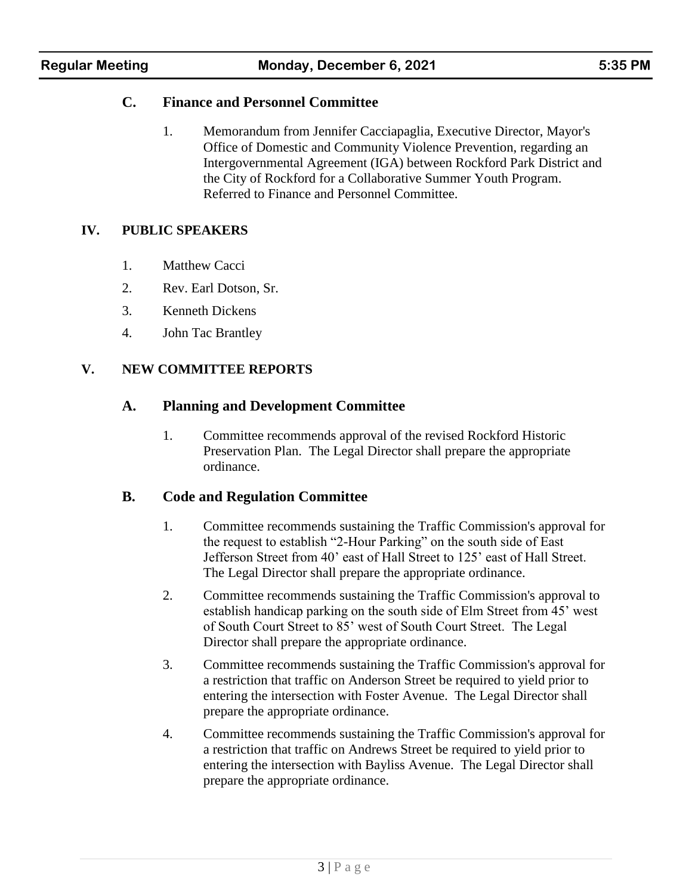# **C. Finance and Personnel Committee**

1. Memorandum from Jennifer Cacciapaglia, Executive Director, Mayor's Office of Domestic and Community Violence Prevention, regarding an Intergovernmental Agreement (IGA) between Rockford Park District and the City of Rockford for a Collaborative Summer Youth Program. Referred to Finance and Personnel Committee.

# **IV. PUBLIC SPEAKERS**

- 1. Matthew Cacci
- 2. Rev. Earl Dotson, Sr.
- 3. Kenneth Dickens
- 4. John Tac Brantley

# **V. NEW COMMITTEE REPORTS**

# **A. Planning and Development Committee**

1. Committee recommends approval of the revised Rockford Historic Preservation Plan. The Legal Director shall prepare the appropriate ordinance.

#### **B. Code and Regulation Committee**

- 1. Committee recommends sustaining the Traffic Commission's approval for the request to establish "2-Hour Parking" on the south side of East Jefferson Street from 40' east of Hall Street to 125' east of Hall Street. The Legal Director shall prepare the appropriate ordinance.
- 2. Committee recommends sustaining the Traffic Commission's approval to establish handicap parking on the south side of Elm Street from 45' west of South Court Street to 85' west of South Court Street. The Legal Director shall prepare the appropriate ordinance.
- 3. Committee recommends sustaining the Traffic Commission's approval for a restriction that traffic on Anderson Street be required to yield prior to entering the intersection with Foster Avenue. The Legal Director shall prepare the appropriate ordinance.
- 4. Committee recommends sustaining the Traffic Commission's approval for a restriction that traffic on Andrews Street be required to yield prior to entering the intersection with Bayliss Avenue. The Legal Director shall prepare the appropriate ordinance.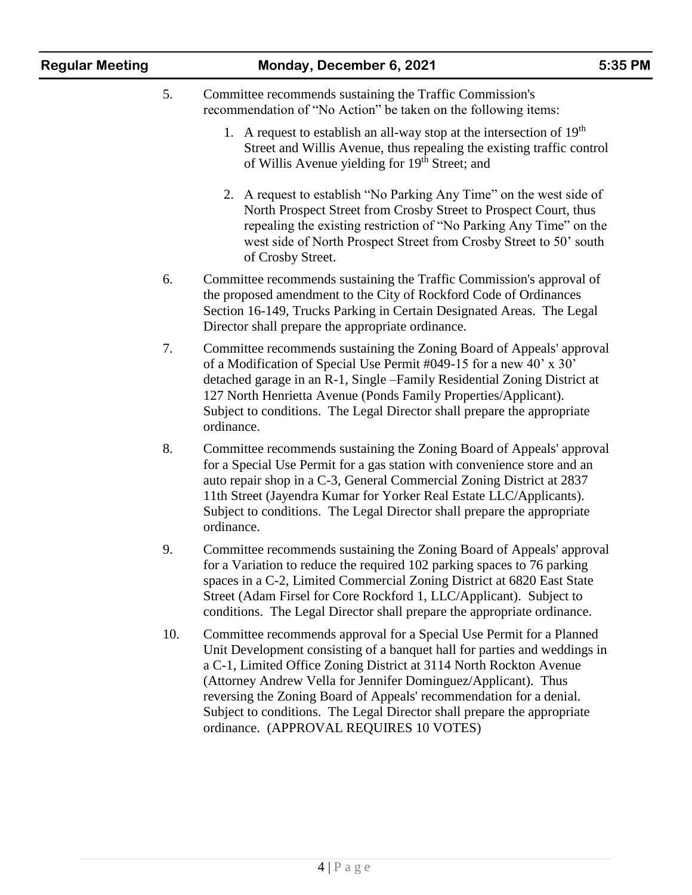| <b>Regular Meeting</b> |  |
|------------------------|--|
|------------------------|--|

#### 5. Committee recommends sustaining the Traffic Commission's recommendation of "No Action" be taken on the following items:

- 1. A request to establish an all-way stop at the intersection of  $19<sup>th</sup>$ Street and Willis Avenue, thus repealing the existing traffic control of Willis Avenue yielding for 19<sup>th</sup> Street; and
- 2. A request to establish "No Parking Any Time" on the west side of North Prospect Street from Crosby Street to Prospect Court, thus repealing the existing restriction of "No Parking Any Time" on the west side of North Prospect Street from Crosby Street to 50' south of Crosby Street.
- 6. Committee recommends sustaining the Traffic Commission's approval of the proposed amendment to the City of Rockford Code of Ordinances Section 16-149, Trucks Parking in Certain Designated Areas. The Legal Director shall prepare the appropriate ordinance.
- 7. Committee recommends sustaining the Zoning Board of Appeals' approval of a Modification of Special Use Permit #049-15 for a new 40' x 30' detached garage in an R-1, Single –Family Residential Zoning District at 127 North Henrietta Avenue (Ponds Family Properties/Applicant). Subject to conditions. The Legal Director shall prepare the appropriate ordinance.
- 8. Committee recommends sustaining the Zoning Board of Appeals' approval for a Special Use Permit for a gas station with convenience store and an auto repair shop in a C-3, General Commercial Zoning District at 2837 11th Street (Jayendra Kumar for Yorker Real Estate LLC/Applicants). Subject to conditions. The Legal Director shall prepare the appropriate ordinance.
- 9. Committee recommends sustaining the Zoning Board of Appeals' approval for a Variation to reduce the required 102 parking spaces to 76 parking spaces in a C-2, Limited Commercial Zoning District at 6820 East State Street (Adam Firsel for Core Rockford 1, LLC/Applicant). Subject to conditions. The Legal Director shall prepare the appropriate ordinance.
- 10. Committee recommends approval for a Special Use Permit for a Planned Unit Development consisting of a banquet hall for parties and weddings in a C-1, Limited Office Zoning District at 3114 North Rockton Avenue (Attorney Andrew Vella for Jennifer Dominguez/Applicant). Thus reversing the Zoning Board of Appeals' recommendation for a denial. Subject to conditions. The Legal Director shall prepare the appropriate ordinance. (APPROVAL REQUIRES 10 VOTES)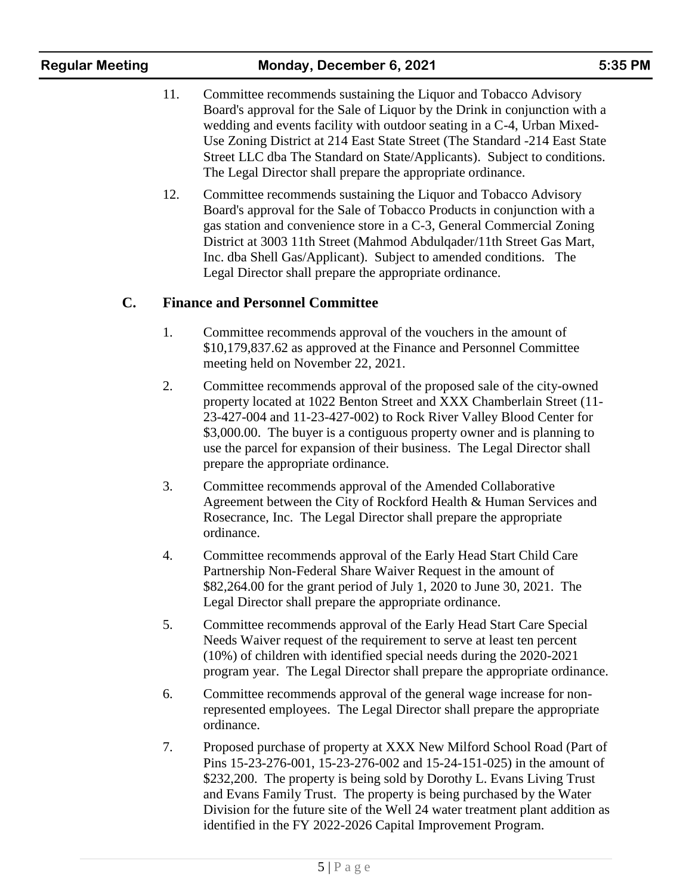- 11. Committee recommends sustaining the Liquor and Tobacco Advisory Board's approval for the Sale of Liquor by the Drink in conjunction with a wedding and events facility with outdoor seating in a C-4, Urban Mixed-Use Zoning District at 214 East State Street (The Standard -214 East State Street LLC dba The Standard on State/Applicants). Subject to conditions. The Legal Director shall prepare the appropriate ordinance.
- 12. Committee recommends sustaining the Liquor and Tobacco Advisory Board's approval for the Sale of Tobacco Products in conjunction with a gas station and convenience store in a C-3, General Commercial Zoning District at 3003 11th Street (Mahmod Abdulqader/11th Street Gas Mart, Inc. dba Shell Gas/Applicant). Subject to amended conditions. The Legal Director shall prepare the appropriate ordinance.

# **C. Finance and Personnel Committee**

- 1. Committee recommends approval of the vouchers in the amount of \$10,179,837.62 as approved at the Finance and Personnel Committee meeting held on November 22, 2021.
- 2. Committee recommends approval of the proposed sale of the city-owned property located at 1022 Benton Street and XXX Chamberlain Street (11- 23-427-004 and 11-23-427-002) to Rock River Valley Blood Center for \$3,000.00. The buyer is a contiguous property owner and is planning to use the parcel for expansion of their business. The Legal Director shall prepare the appropriate ordinance.
- 3. Committee recommends approval of the Amended Collaborative Agreement between the City of Rockford Health & Human Services and Rosecrance, Inc. The Legal Director shall prepare the appropriate ordinance.
- 4. Committee recommends approval of the Early Head Start Child Care Partnership Non-Federal Share Waiver Request in the amount of \$82,264.00 for the grant period of July 1, 2020 to June 30, 2021. The Legal Director shall prepare the appropriate ordinance.
- 5. Committee recommends approval of the Early Head Start Care Special Needs Waiver request of the requirement to serve at least ten percent (10%) of children with identified special needs during the 2020-2021 program year. The Legal Director shall prepare the appropriate ordinance.
- 6. Committee recommends approval of the general wage increase for nonrepresented employees. The Legal Director shall prepare the appropriate ordinance.
- 7. Proposed purchase of property at XXX New Milford School Road (Part of Pins 15-23-276-001, 15-23-276-002 and 15-24-151-025) in the amount of \$232,200. The property is being sold by Dorothy L. Evans Living Trust and Evans Family Trust. The property is being purchased by the Water Division for the future site of the Well 24 water treatment plant addition as identified in the FY 2022-2026 Capital Improvement Program.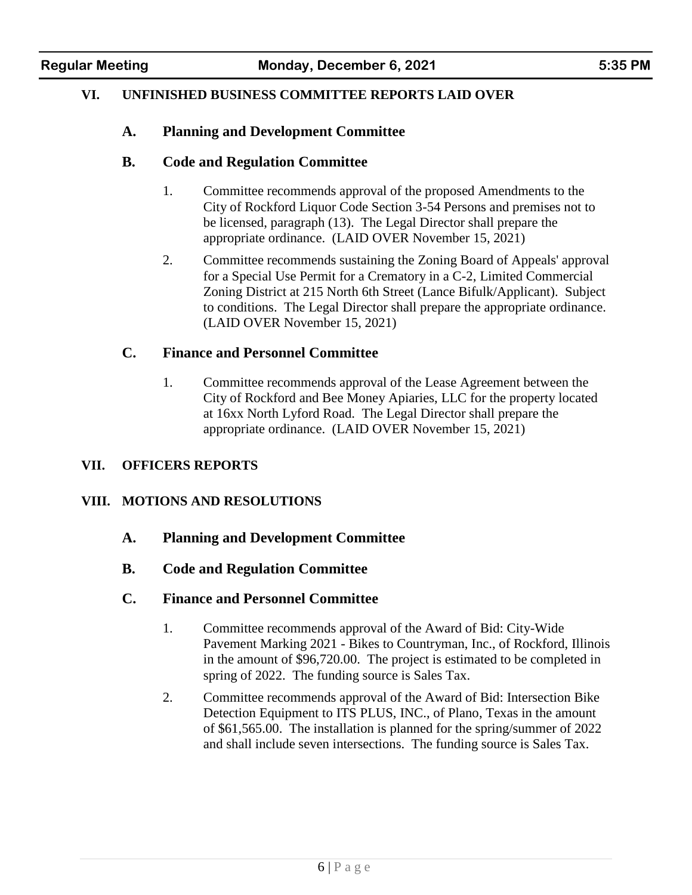#### **VI. UNFINISHED BUSINESS COMMITTEE REPORTS LAID OVER**

#### **A. Planning and Development Committee**

#### **B. Code and Regulation Committee**

- 1. Committee recommends approval of the proposed Amendments to the City of Rockford Liquor Code Section 3-54 Persons and premises not to be licensed, paragraph (13). The Legal Director shall prepare the appropriate ordinance. (LAID OVER November 15, 2021)
- 2. Committee recommends sustaining the Zoning Board of Appeals' approval for a Special Use Permit for a Crematory in a C-2, Limited Commercial Zoning District at 215 North 6th Street (Lance Bifulk/Applicant). Subject to conditions. The Legal Director shall prepare the appropriate ordinance. (LAID OVER November 15, 2021)

#### **C. Finance and Personnel Committee**

1. Committee recommends approval of the Lease Agreement between the City of Rockford and Bee Money Apiaries, LLC for the property located at 16xx North Lyford Road. The Legal Director shall prepare the appropriate ordinance. (LAID OVER November 15, 2021)

#### **VII. OFFICERS REPORTS**

#### **VIII. MOTIONS AND RESOLUTIONS**

- **A. Planning and Development Committee**
- **B. Code and Regulation Committee**
- **C. Finance and Personnel Committee**
	- 1. Committee recommends approval of the Award of Bid: City-Wide Pavement Marking 2021 - Bikes to Countryman, Inc., of Rockford, Illinois in the amount of \$96,720.00. The project is estimated to be completed in spring of 2022. The funding source is Sales Tax.
	- 2. Committee recommends approval of the Award of Bid: Intersection Bike Detection Equipment to ITS PLUS, INC., of Plano, Texas in the amount of \$61,565.00. The installation is planned for the spring/summer of 2022 and shall include seven intersections. The funding source is Sales Tax.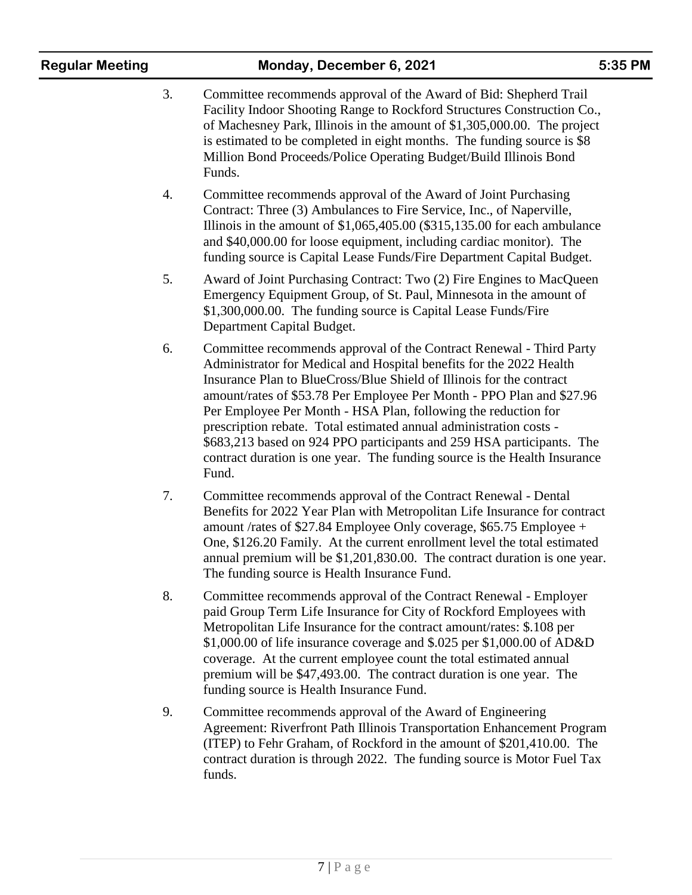| <b>Regular Meeting</b> |    | Monday, December 6, 2021                                                                                                                                                                                                                                                                                                                                                                                                                                                                                                                                                                           | 5:35 PM |
|------------------------|----|----------------------------------------------------------------------------------------------------------------------------------------------------------------------------------------------------------------------------------------------------------------------------------------------------------------------------------------------------------------------------------------------------------------------------------------------------------------------------------------------------------------------------------------------------------------------------------------------------|---------|
|                        | 3. | Committee recommends approval of the Award of Bid: Shepherd Trail<br>Facility Indoor Shooting Range to Rockford Structures Construction Co.,<br>of Machesney Park, Illinois in the amount of \$1,305,000.00. The project<br>is estimated to be completed in eight months. The funding source is \$8<br>Million Bond Proceeds/Police Operating Budget/Build Illinois Bond<br>Funds.                                                                                                                                                                                                                 |         |
|                        | 4. | Committee recommends approval of the Award of Joint Purchasing<br>Contract: Three (3) Ambulances to Fire Service, Inc., of Naperville,<br>Illinois in the amount of $$1,065,405.00$ ( $$315,135.00$ for each ambulance<br>and \$40,000.00 for loose equipment, including cardiac monitor). The<br>funding source is Capital Lease Funds/Fire Department Capital Budget.                                                                                                                                                                                                                            |         |
|                        | 5. | Award of Joint Purchasing Contract: Two (2) Fire Engines to MacQueen<br>Emergency Equipment Group, of St. Paul, Minnesota in the amount of<br>\$1,300,000.00. The funding source is Capital Lease Funds/Fire<br>Department Capital Budget.                                                                                                                                                                                                                                                                                                                                                         |         |
|                        | 6. | Committee recommends approval of the Contract Renewal - Third Party<br>Administrator for Medical and Hospital benefits for the 2022 Health<br>Insurance Plan to BlueCross/Blue Shield of Illinois for the contract<br>amount/rates of \$53.78 Per Employee Per Month - PPO Plan and \$27.96<br>Per Employee Per Month - HSA Plan, following the reduction for<br>prescription rebate. Total estimated annual administration costs -<br>\$683,213 based on 924 PPO participants and 259 HSA participants. The<br>contract duration is one year. The funding source is the Health Insurance<br>Fund. |         |
|                        | 7. | Committee recommends approval of the Contract Renewal - Dental<br>Benefits for 2022 Year Plan with Metropolitan Life Insurance for contract<br>amount /rates of \$27.84 Employee Only coverage, \$65.75 Employee +<br>One, \$126.20 Family. At the current enrollment level the total estimated<br>annual premium will be \$1,201,830.00. The contract duration is one year.<br>The funding source is Health Insurance Fund.                                                                                                                                                                       |         |
|                        | 8. | Committee recommends approval of the Contract Renewal - Employer<br>paid Group Term Life Insurance for City of Rockford Employees with<br>Metropolitan Life Insurance for the contract amount/rates: \$.108 per<br>$$1,000.00$ of life insurance coverage and \$.025 per \$1,000.00 of AD&D<br>coverage. At the current employee count the total estimated annual<br>premium will be \$47,493.00. The contract duration is one year. The<br>funding source is Health Insurance Fund.                                                                                                               |         |
|                        | 9. | Committee recommends approval of the Award of Engineering<br>Agreement: Riverfront Path Illinois Transportation Enhancement Program<br>(ITEP) to Fehr Graham, of Rockford in the amount of \$201,410.00. The<br>contract duration is through 2022. The funding source is Motor Fuel Tax<br>funds.                                                                                                                                                                                                                                                                                                  |         |
|                        |    |                                                                                                                                                                                                                                                                                                                                                                                                                                                                                                                                                                                                    |         |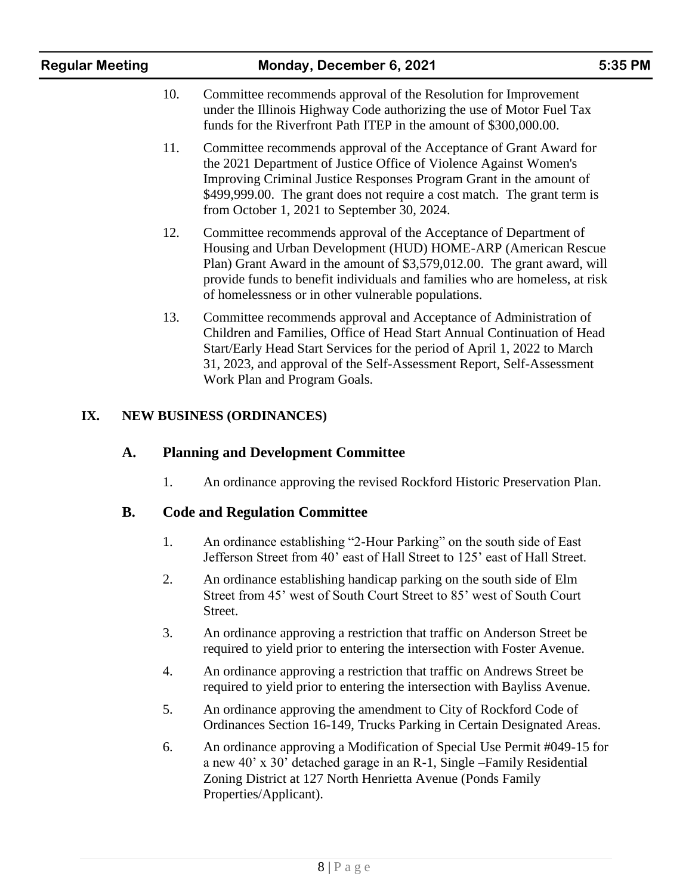| <b>Regular Meeting</b> |     | Monday, December 6, 2021                                                                                                                                                                                                                                                                                                                            | 5:35 PM |
|------------------------|-----|-----------------------------------------------------------------------------------------------------------------------------------------------------------------------------------------------------------------------------------------------------------------------------------------------------------------------------------------------------|---------|
|                        | 10. | Committee recommends approval of the Resolution for Improvement<br>under the Illinois Highway Code authorizing the use of Motor Fuel Tax<br>funds for the Riverfront Path ITEP in the amount of \$300,000.00.                                                                                                                                       |         |
|                        | 11. | Committee recommends approval of the Acceptance of Grant Award for<br>the 2021 Department of Justice Office of Violence Against Women's<br>Improving Criminal Justice Responses Program Grant in the amount of<br>\$499,999.00. The grant does not require a cost match. The grant term is<br>from October 1, 2021 to September 30, 2024.           |         |
|                        | 12. | Committee recommends approval of the Acceptance of Department of<br>Housing and Urban Development (HUD) HOME-ARP (American Rescue<br>Plan) Grant Award in the amount of \$3,579,012.00. The grant award, will<br>provide funds to benefit individuals and families who are homeless, at risk<br>of homelessness or in other vulnerable populations. |         |
|                        | 13. | Committee recommends approval and Acceptance of Administration of<br>Children and Families, Office of Head Start Annual Continuation of Head<br>Start/Early Head Start Services for the period of April 1, 2022 to March<br>31, 2023, and approval of the Self-Assessment Report, Self-Assessment<br>Work Plan and Program Goals.                   |         |
| IX.                    |     | <b>NEW BUSINESS (ORDINANCES)</b>                                                                                                                                                                                                                                                                                                                    |         |
| A.                     |     | <b>Planning and Development Committee</b>                                                                                                                                                                                                                                                                                                           |         |
|                        | 1.  | An ordinance approving the revised Rockford Historic Preservation Plan.                                                                                                                                                                                                                                                                             |         |
| <b>B.</b>              |     | <b>Code and Regulation Committee</b>                                                                                                                                                                                                                                                                                                                |         |
|                        | 1.  | An ordinance establishing "2-Hour Parking" on the south side of East<br>Jefferson Street from 40' east of Hall Street to 125' east of Hall Street.                                                                                                                                                                                                  |         |
|                        | 2.  | An ordinance establishing handicap parking on the south side of Elm<br>Street from 45' west of South Court Street to 85' west of South Court<br>Street.                                                                                                                                                                                             |         |

- 3. An ordinance approving a restriction that traffic on Anderson Street be required to yield prior to entering the intersection with Foster Avenue.
- 4. An ordinance approving a restriction that traffic on Andrews Street be required to yield prior to entering the intersection with Bayliss Avenue.
- 5. An ordinance approving the amendment to City of Rockford Code of Ordinances Section 16-149, Trucks Parking in Certain Designated Areas.
- 6. An ordinance approving a Modification of Special Use Permit #049-15 for a new 40' x 30' detached garage in an R-1, Single –Family Residential Zoning District at 127 North Henrietta Avenue (Ponds Family Properties/Applicant).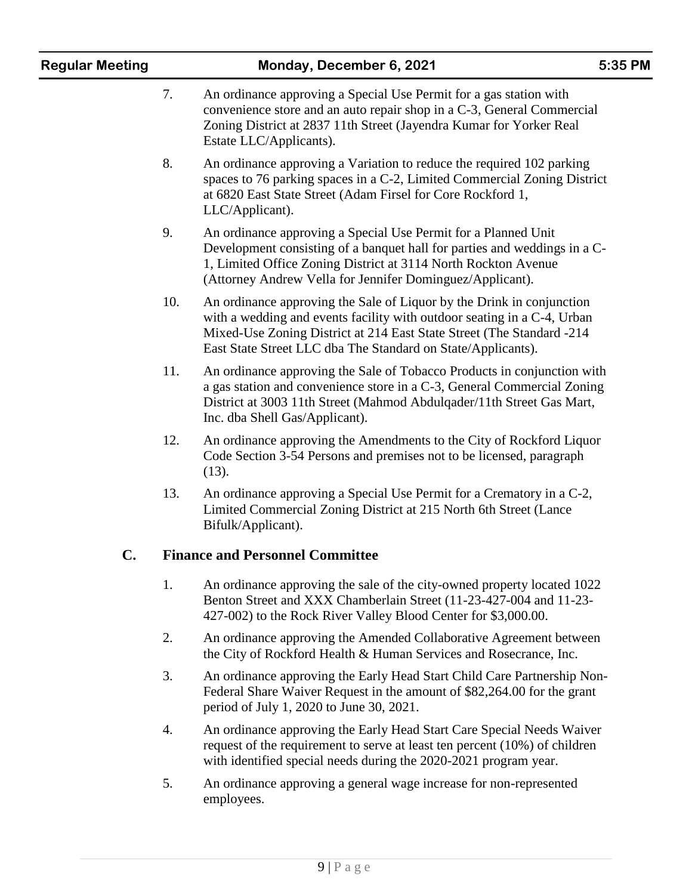| <b>Regular Meeting</b> | Monday, December 6, 2021<br>5:35 PM |                                                                                                                                                                                                                                                                                           |  |  |
|------------------------|-------------------------------------|-------------------------------------------------------------------------------------------------------------------------------------------------------------------------------------------------------------------------------------------------------------------------------------------|--|--|
|                        | 7.                                  | An ordinance approving a Special Use Permit for a gas station with<br>convenience store and an auto repair shop in a C-3, General Commercial<br>Zoning District at 2837 11th Street (Jayendra Kumar for Yorker Real<br>Estate LLC/Applicants).                                            |  |  |
|                        | 8.                                  | An ordinance approving a Variation to reduce the required 102 parking<br>spaces to 76 parking spaces in a C-2, Limited Commercial Zoning District<br>at 6820 East State Street (Adam Firsel for Core Rockford 1,<br>LLC/Applicant).                                                       |  |  |
|                        | 9.                                  | An ordinance approving a Special Use Permit for a Planned Unit<br>Development consisting of a banquet hall for parties and weddings in a C-<br>1, Limited Office Zoning District at 3114 North Rockton Avenue<br>(Attorney Andrew Vella for Jennifer Dominguez/Applicant).                |  |  |
|                        | 10.                                 | An ordinance approving the Sale of Liquor by the Drink in conjunction<br>with a wedding and events facility with outdoor seating in a C-4, Urban<br>Mixed-Use Zoning District at 214 East State Street (The Standard -214<br>East State Street LLC dba The Standard on State/Applicants). |  |  |
|                        | 11.                                 | An ordinance approving the Sale of Tobacco Products in conjunction with<br>a gas station and convenience store in a C-3, General Commercial Zoning<br>District at 3003 11th Street (Mahmod Abdulqader/11th Street Gas Mart,<br>Inc. dba Shell Gas/Applicant).                             |  |  |
|                        | 12.                                 | An ordinance approving the Amendments to the City of Rockford Liquor<br>Code Section 3-54 Persons and premises not to be licensed, paragraph<br>$(13)$ .                                                                                                                                  |  |  |
|                        | 13.                                 | An ordinance approving a Special Use Permit for a Crematory in a C-2,<br>Limited Commercial Zoning District at 215 North 6th Street (Lance<br>Bifulk/Applicant).                                                                                                                          |  |  |
| $\mathbf{C}$ .         |                                     | <b>Finance and Personnel Committee</b>                                                                                                                                                                                                                                                    |  |  |
|                        | 1.                                  | An ordinance approving the sale of the city-owned property located 1022<br>Benton Street and XXX Chamberlain Street (11-23-427-004 and 11-23-<br>427-002) to the Rock River Valley Blood Center for \$3,000.00.                                                                           |  |  |
|                        | 2.                                  | An ordinance approving the Amended Collaborative Agreement between<br>the City of Rockford Health & Human Services and Rosecrance, Inc.                                                                                                                                                   |  |  |
|                        | 3.                                  | An ordinance approving the Early Head Start Child Care Partnership Non-<br>Federal Share Waiver Request in the amount of \$82,264.00 for the grant<br>period of July 1, 2020 to June 30, 2021.                                                                                            |  |  |
|                        | 4.                                  | An ordinance approving the Early Head Start Care Special Needs Waiver<br>request of the requirement to serve at least ten percent $(10\%)$ of children<br>with identified special needs during the 2020-2021 program year.                                                                |  |  |
|                        | 5.                                  | An ordinance approving a general wage increase for non-represented<br>employees.                                                                                                                                                                                                          |  |  |